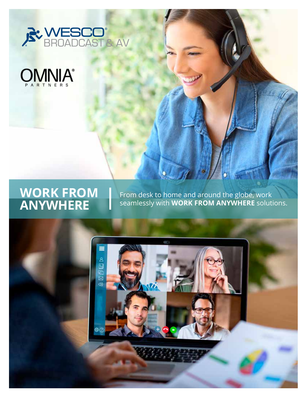



# **WORK FROM ANYWHERE**

From desk to home and around the globe, work seamlessly with **WORK FROM ANYWHERE** solutions.

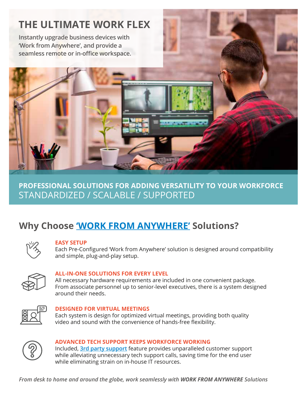# **THE ULTIMATE WORK FLEX**

**Instantly upgrade business devices with 'Work from Anywhere', and provide a seamless remote or in-office workspace.** 



## **PROFESSIONAL SOLUTIONS FOR ADDING VERSATILITY TO YOUR WORKFORCE** STANDARDIZED / SCALABLE / SUPPORTED

## **Why Choose ['WORK FROM ANYWHERE'](https://www.wescobroadcast.com/search_results.php?keyword=wfh) Solutions?**



#### **EASY SETUP**

Each Pre-Configured 'Work from Anywhere' solution is designed around compatibility and simple, plug-and-play setup.



#### **ALL-IN-ONE SOLUTIONS FOR EVERY LEVEL**

All necessary hardware requirements are included in one convenient package. From associate personnel up to senior-level executives, there is a system designed around their needs.



#### **DESIGNED FOR VIRTUAL MEETINGS**

Each system is design for optimized virtual meetings, providing both quality video and sound with the convenience of hands-free flexibility.



#### **ADVANCED TECH SUPPORT KEEPS WORKFORCE WORKING**

Included, **[3rd party support](https://www.wescobroadcast.com/teleportivity)** feature provides unparalleled customer support while alleviating unnecessary tech support calls, saving time for the end user while eliminating strain on in-house IT resources.

*From desk to home and around the globe, work seamlessly with WORK FROM ANYWHERE Solutions*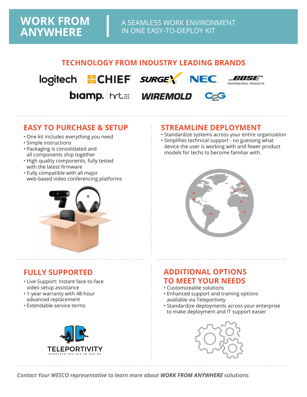### **TECHNOLOGY FROM INDUSTRY LEADING BRANDS**



biamp. hrt::: WIREMOLD



### **EASY TO PURCHASE & SETUP**

- One kit includes everything you need
- Simple instructions
- Packaging is consolidated and all components ship together
- High quality components, fully tested with the latest firmware
- Fully compatible with all major web-based video conferencing platforms



## **FULLY SUPPORTED**

- Live Support: Instant face-to-face video setup assistance
- 1-year warranty with 48-hour advanced replacement
- Extendable service terms



#### **STREAMLINE DEPLOYMENT**

- Standardize systems across your entire organization
- Simplifies technical support no guessing what device the user is working with and fewer product models for techs to become familiar with.



### **ADDITIONAL OPTIONS TO MEET YOUR NEEDS**

- Customizeable solutions
- Enhanced support and training options available via Teleportivity
- Standardize deployments across your enterprise to make deployment and IT support easier



*Contact Your WESCO representative to learn more about WORK FROM ANYWHERE* **solutions**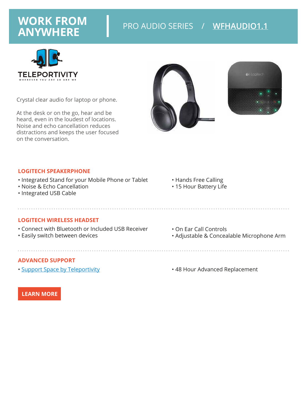

Crystal clear audio for laptop or phone.

At the desk or on the go, hear and be heard, even in the loudest of locations. Noise and echo cancellation reduces distractions and keeps the user focused on the conversation.





#### **LOGITECH SPEAKERPHONE**

- Integrated Stand for your Mobile Phone or Tablet
- Noise & Echo Cancellation
- Integrated USB Cable
- Hands Free Calling
- 15 Hour Battery Life

#### **LOGITECH WIRELESS HEADSET**

• Connect with Bluetooth or Included USB Receiver

• Easily switch between devices

#### **ADVANCED SUPPORT**

• [Support Space by Teleportivity](https://www.wescobroadcast.com/teleportivity)

- On Ear Call Controls
- Adjustable & Concealable Microphone Arm

• 48 Hour Advanced Replacement

**[LEARN MORE](https://secure.libertycable.com/product_details.php?pitem=WFHAUDIO1.1)**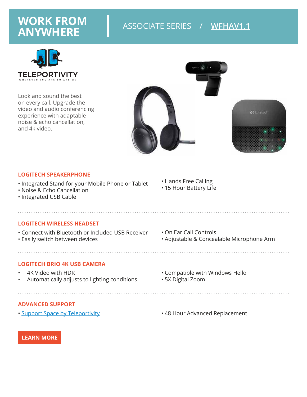# **WORK FROM** ASSOCIATE SERIES / **[WFHAV1.1](https://secure.libertycable.com/product_details.php?pitem=WFHAV1.1) ANYWHERE**



Look and sound the best on every call. Upgrade the video and audio conferencing experience with adaptable noise & echo cancellation, and 4k video.



#### **LOGITECH SPEAKERPHONE**

- Integrated Stand for your Mobile Phone or Tablet
- Noise & Echo Cancellation
- Integrated USB Cable
- Hands Free Calling
- 15 Hour Battery Life

• On Ear Call Controls

#### **LOGITECH WIRELESS HEADSET**

- Connect with Bluetooth or Included USB Receiver
- Easily switch between devices

#### **LOGITECH BRIO 4K USB CAMERA**

- 4K Video with HDR
- Automatically adjusts to lighting conditions

- - Compatible with Windows Hello

• Adjustable & Concealable Microphone Arm

• 5X Digital Zoom

#### **ADVANCED SUPPORT**

- 
- [Support Space by Teleportivity](https://www.wescobroadcast.com/teleportivity)  **48 Hour Advanced Replacement**

**[LEARN MORE](https://secure.libertycable.com/product_details.php?pitem=WFHAV1.1)**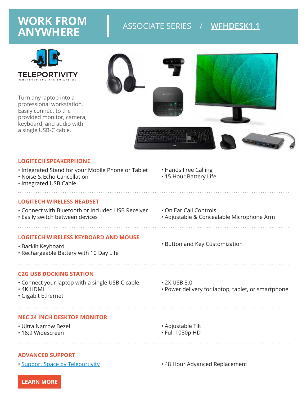# **WORK FROM**  ASSOCIATE SERIES / [WFHDESK1.1](https://secure.libertycable.com/product_details.php?pitem=WFHDESK1.1)



Turn any laptop into a professional workstation. Easily connect to the provided monitor, camera, keyboard, and audio with a single USB-C cable.



#### **LOGITECH SPEAKERPHONE**

- Integrated Stand for your Mobile Phone or Tablet
- Noise & Echo Cancellation
- Integrated USB Cable

#### **LOGITECH WIRELESS HEADSET**

- Connect with Bluetooth or Included USB Receiver
- Easily switch between devices

#### **LOGITECH WIRELESS KEYBOARD AND MOUSE**

• Backlit Keyboard • Rechargeable Battery with 10 Day Life

#### **C2G USB DOCKING STATION**

• Connect your laptop with a single USB C cable

- 4K HDMI
- Gigabit Ethernet

#### **NEC 24 INCH DESKTOP MONITOR**

- Ultra Narrow Bezel
- 16:9 Widescreen
- Adjustable Tilt
- Full 1080p HD

#### **ADVANCED SUPPORT**

• [Support Space by Teleportivity](https://www.wescobroadcast.com/teleportivity) **• 48 Hour Advanced Replacement** 

• On Ear Call Controls

• Hands Free Calling • 15 Hour Battery Life

- Adjustable & Concealable Microphone Arm
- Button and Key Customization
- 2X USB 3.0
- Power delivery for laptop, tablet, or smartphone

**[LEARN MORE](https://secure.libertycable.com/product_details.php?pitem=WFHDESK1.1)**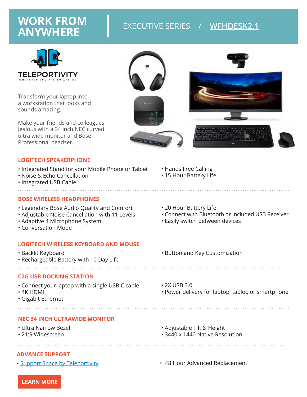# **WORK FROM** EXECUTIVE SERIES / **[WFHDESK2.1](https://secure.libertycable.com/product_details.php?pitem=WFHDESK2.1) ANYWHERE**



Transform your laptop into a workstation that looks and sounds amazing.

Make your friends and colleagues jealous with a 34 inch NEC curved ultra wide monitor and Bose Professional headset.



#### **LOGITECH SPEAKERPHONE**

• Integrated Stand for your Mobile Phone or Tablet

- Noise & Echo Cancellation
- Integrated USB Cable

#### **BOSE WIRELESS HEADPHONES**

- Legendary Bose Audio Quality and Comfort
- Adjustable Noise Cancellation with 11 Levels
- Adaptive 4 Microphone System
- Conversation Mode

#### **LOGITECH WIRELESS KEYBOARD AND MOUSE**

• Backlit Keyboard • Rechargeable Battery with 10 Day Life

#### **C2G USB DOCKING STATION**

• Connect your laptop with a single USB C cable

- 4K HDMI
- Gigabit Ethernet
	-

#### **NEC 34 INCH ULTRAWIDE MONITOR**

- Ultra Narrow Bezel
- 21:9 Widescreen

• 20 Hour Battery Life • Connect with Bluetooth or Included USB Receiver

• Hands Free Calling • 15 Hour Battery Life

- Easily switch between devices
- Button and Key Customization
- 2X USB 3.0

• Power delivery for laptop, tablet, or smartphone

- Adjustable Tilt & Height
- 3440 x 1440 Native Resolution

#### **ADVANCE SUPPORT**

- 
- [Support Space by Teleportivity](https://www.wescobroadcast.com/teleportivity)  **48 Hour Advanced Replacement**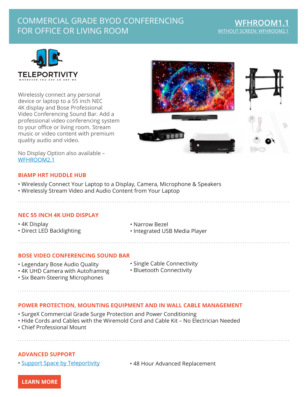## COMMERCIAL GRADE BYOD CONFERENCING FOR OFFICE OR LIVING ROOM



Wirelessly connect any personal device or laptop to a 55 inch NEC 4K display and Bose Professional Video Conferencing Sound Bar. Add a professional video conferencing system to your office or living room. Stream music or video content with premium quality audio and video.



No Display Option also available – [WFHROOM2.1](https://secure.libertycable.com/product_details.php?pitem=WFHROOM2.1)

#### **BIAMP HRT HUDDLE HUB**

- Wirelessly Connect Your Laptop to a Display, Camera, Microphone & Speakers
- Wirelessly Stream Video and Audio Content from Your Laptop

#### **NEC 55 INCH 4K UHD DISPLAY**

• 4K Display • Direct LED Backlighting

- Narrow Bezel
- Integrated USB Media Player

#### **BOSE VIDEO CONFERENCING SOUND BAR**

- Legendary Bose Audio Quality
- 4K UHD Camera with Autoframing
- Six Beam-Steering Microphones
- Single Cable Connectivity
- Bluetooth Connectivity

#### **POWER PROTECTION, MOUNTING EQUIPMENT AND IN WALL CABLE MANAGEMENT**

- SurgeX Commercial Grade Surge Protection and Power Conditioning
- Hide Cords and Cables with the Wiremold Cord and Cable Kit No Electrician Needed
- Chief Professional Mount

#### **ADVANCED SUPPORT**

- [Support Space by Teleportivity](https://www.wescobroadcast.com/teleportivity)
- 48 Hour Advanced Replacement